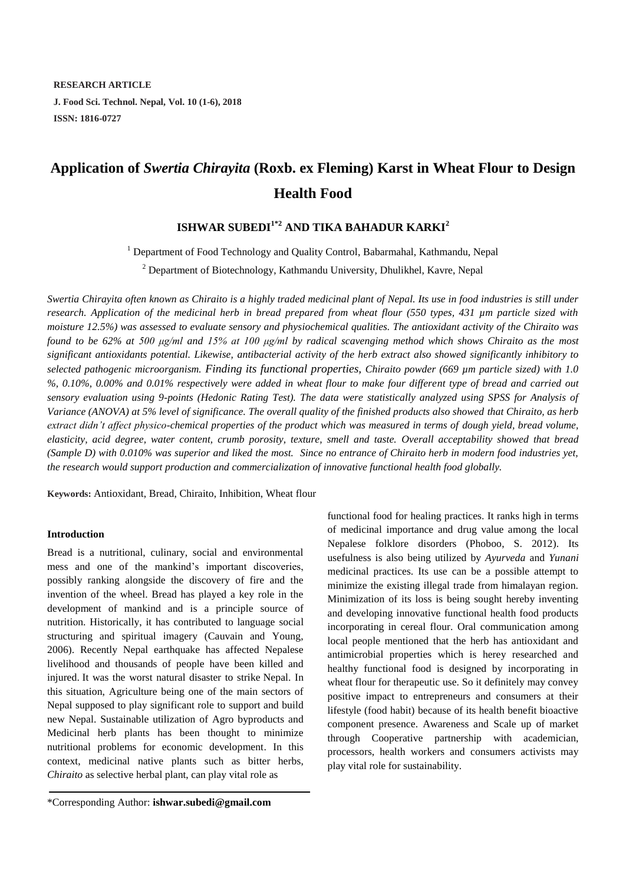**RESEARCH ARTICLE J. Food Sci. Technol. Nepal, Vol. 10 (1-6), 2018 ISSN: 1816-0727**

# **Application of** *Swertia Chirayita* **(Roxb. ex Fleming) Karst in Wheat Flour to Design Health Food**

**ISHWAR SUBEDI1\*2 AND TIKA BAHADUR KARKI<sup>2</sup>**

<sup>1</sup> Department of Food Technology and Quality Control, Babarmahal, Kathmandu, Nepal

<sup>2</sup> Department of Biotechnology, Kathmandu University, Dhulikhel, Kavre, Nepal

*Swertia Chirayita often known as Chiraito is a highly traded medicinal plant of Nepal. Its use in food industries is still under research. Application of the medicinal herb in bread prepared from wheat flour (550 types, 431 µm particle sized with moisture 12.5%) was assessed to evaluate sensory and physiochemical qualities. The antioxidant activity of the Chiraito was found to be 62% at 500 μg/ml and 15% at 100 μg/ml by radical scavenging method which shows Chiraito as the most significant antioxidants potential. Likewise, antibacterial activity of the herb extract also showed significantly inhibitory to selected pathogenic microorganism. Finding its functional properties, Chiraito powder (669 µm particle sized) with 1.0 %, 0.10%, 0.00% and 0.01% respectively were added in wheat flour to make four different type of bread and carried out sensory evaluation using 9-points (Hedonic Rating Test). The data were statistically analyzed using SPSS for Analysis of Variance (ANOVA) at 5% level of significance. The overall quality of the finished products also showed that Chiraito, as herb extract didn't affect physico-chemical properties of the product which was measured in terms of dough yield, bread volume, elasticity, acid degree, water content, crumb porosity, texture, smell and taste. Overall acceptability showed that bread (Sample D) with 0.010% was superior and liked the most. Since no entrance of Chiraito herb in modern food industries yet, the research would support production and commercialization of innovative functional health food globally.*

**Keywords:** Antioxidant, Bread, Chiraito, Inhibition, Wheat flour

# **Introduction**

Bread is a nutritional, culinary, social and environmental mess and one of the mankind's important discoveries, possibly ranking alongside the discovery of fire and the invention of the wheel. Bread has played a key role in the development of mankind and is a principle source of nutrition. Historically, it has contributed to language social structuring and spiritual imagery (Cauvain and Young, 2006). Recently Nepal earthquake has affected Nepalese livelihood and thousands of people have been killed and injured. It was the worst natural disaster to strike Nepal. In this situation, Agriculture being one of the main sectors of Nepal supposed to play significant role to support and build new Nepal. Sustainable utilization of Agro byproducts and Medicinal herb plants has been thought to minimize nutritional problems for economic development. In this context, medicinal native plants such as bitter herbs, *Chiraito* as selective herbal plant, can play vital role as

\*Corresponding Author: **ishwar.subedi@gmail.com** 

functional food for healing practices. It ranks high in terms of medicinal importance and drug value among the local Nepalese folklore disorders (Phoboo, S. 2012). Its usefulness is also being utilized by *Ayurveda* and *Yunani* medicinal practices. Its use can be a possible attempt to minimize the existing illegal trade from himalayan region. Minimization of its loss is being sought hereby inventing and developing innovative functional health food products incorporating in cereal flour. Oral communication among local people mentioned that the herb has antioxidant and antimicrobial properties which is herey researched and healthy functional food is designed by incorporating in wheat flour for therapeutic use. So it definitely may convey positive impact to entrepreneurs and consumers at their lifestyle (food habit) because of its health benefit bioactive component presence. Awareness and Scale up of market through Cooperative partnership with academician, processors, health workers and consumers activists may play vital role for sustainability.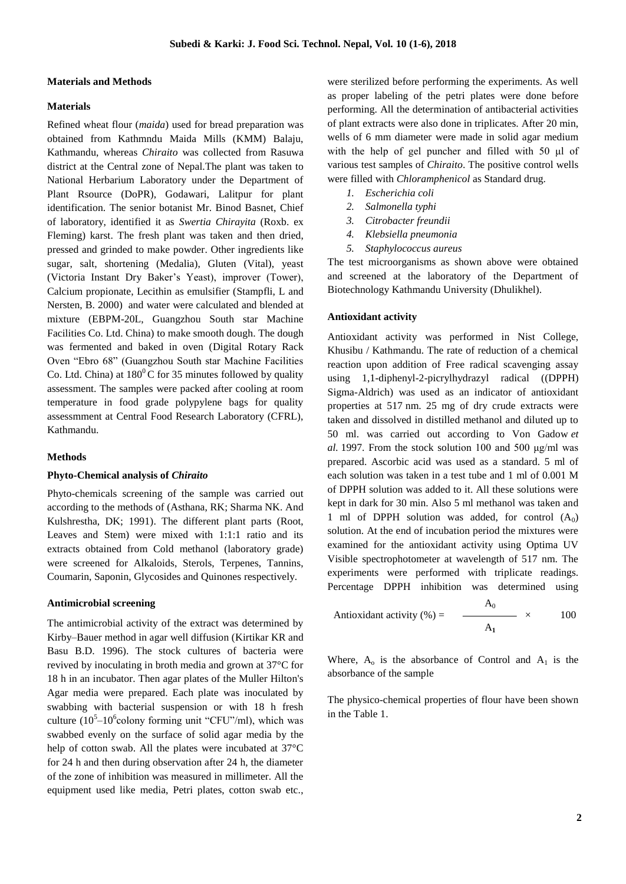#### **Materials and Methods**

### **Materials**

Refined wheat flour (*maida*) used for bread preparation was obtained from Kathmndu Maida Mills (KMM) Balaju, Kathmandu, whereas *Chiraito* was collected from Rasuwa district at the Central zone of Nepal.The plant was taken to National Herbarium Laboratory under the Department of Plant Rsource (DoPR), Godawari, Lalitpur for plant identification. The senior botanist Mr. Binod Basnet, Chief of laboratory, identified it as *Swertia Chirayita* (Roxb. ex Fleming) karst. The fresh plant was taken and then dried, pressed and grinded to make powder. Other ingredients like sugar, salt, shortening (Medalia), Gluten (Vital), yeast (Victoria Instant Dry Baker's Yeast), improver (Tower), Calcium propionate, Lecithin as emulsifier (Stampfli, L and Nersten, B. 2000) and water were calculated and blended at mixture (EBPM-20L, Guangzhou South star Machine Facilities Co. Ltd. China) to make smooth dough. The dough was fermented and baked in oven (Digital Rotary Rack Oven "Ebro 68" (Guangzhou South star Machine Facilities Co. Ltd. China) at  $180^{\circ}$ C for 35 minutes followed by quality assessment. The samples were packed after cooling at room temperature in food grade polypylene bags for quality assessmment at Central Food Research Laboratory (CFRL), Kathmandu.

## **Methods**

# **Phyto-Chemical analysis of** *Chiraito*

Phyto-chemicals screening of the sample was carried out according to the methods of (Asthana, RK; Sharma NK. And Kulshrestha, DK; 1991). The different plant parts (Root, Leaves and Stem) were mixed with 1:1:1 ratio and its extracts obtained from Cold methanol (laboratory grade) were screened for Alkaloids, Sterols, Terpenes, Tannins, Coumarin, Saponin, Glycosides and Quinones respectively.

#### **Antimicrobial screening**

The antimicrobial activity of the extract was determined by Kirby–Bauer method in agar well diffusion (Kirtikar KR and Basu B.D. 1996). The stock cultures of bacteria were revived by inoculating in broth media and grown at 37°C for 18 h in an incubator. Then agar plates of the Muller Hilton's Agar media were prepared. Each plate was inoculated by swabbing with bacterial suspension or with 18 h fresh culture  $(10<sup>5</sup>-10<sup>6</sup>$ colony forming unit "CFU"/ml), which was swabbed evenly on the surface of solid agar media by the help of cotton swab. All the plates were incubated at 37°C for 24 h and then during observation after 24 h, the diameter of the zone of inhibition was measured in millimeter. All the equipment used like media, Petri plates, cotton swab etc.,

were sterilized before performing the experiments. As well as proper labeling of the petri plates were done before performing. All the determination of antibacterial activities of plant extracts were also done in triplicates. After 20 min, wells of 6 mm diameter were made in solid agar medium with the help of gel puncher and filled with 50 μl of various test samples of *Chiraito*. The positive control wells were filled with *Chloramphenicol* as Standard drug.

- *1. Escherichia coli*
- *2. Salmonella typhi*
- *3. Citrobacter freundii*
- *4. Klebsiella pneumonia*
- *5. Staphylococcus aureus*

The test microorganisms as shown above were obtained and screened at the laboratory of the Department of Biotechnology Kathmandu University (Dhulikhel).

#### **Antioxidant activity**

Antioxidant activity was performed in Nist College, Khusibu / Kathmandu. The rate of reduction of a chemical reaction upon addition of Free radical scavenging assay using 1,1-diphenyl-2-picrylhydrazyl radical ((DPPH) Sigma-Aldrich) was used as an indicator of antioxidant properties at 517 nm. 25 mg of dry crude extracts were taken and dissolved in distilled methanol and diluted up to 50 ml. was carried out according to Von Gadow *et al.* 1997. From the stock solution 100 and 500 μg/ml was prepared. Ascorbic acid was used as a standard. 5 ml of each solution was taken in a test tube and 1 ml of 0.001 M of DPPH solution was added to it. All these solutions were kept in dark for 30 min. Also 5 ml methanol was taken and 1 ml of DPPH solution was added, for control  $(A_0)$ solution. At the end of incubation period the mixtures were examined for the antioxidant activity using Optima UV Visible spectrophotometer at wavelength of 517 nm. The experiments were performed with triplicate readings. Percentage DPPH inhibition was determined using

Antioxidant activity (%) = 
$$
\frac{A_0}{A_1} \times 100
$$

Where,  $A_0$  is the absorbance of Control and  $A_1$  is the absorbance of the sample

The physico-chemical properties of flour have been shown in the Table 1.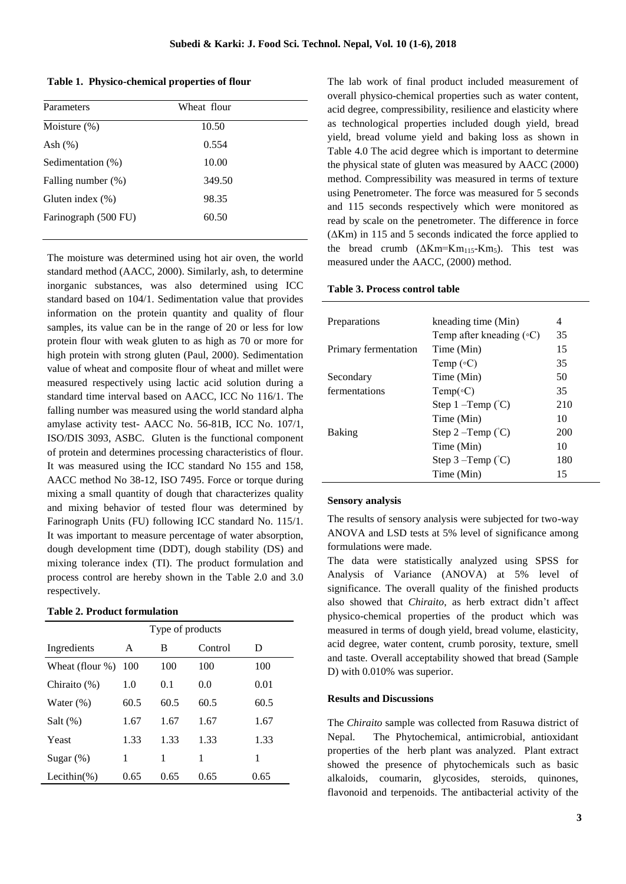**Table 1. Physico-chemical properties of flour** 

| Parameters           | Wheat flour |  |
|----------------------|-------------|--|
| Moisture $(\%)$      | 10.50       |  |
| Ash $(\%)$           | 0.554       |  |
| Sedimentation (%)    | 10.00       |  |
| Falling number (%)   | 349.50      |  |
| Gluten index $(\%)$  | 98.35       |  |
| Farinograph (500 FU) | 60.50       |  |
|                      |             |  |

The moisture was determined using hot air oven, the world standard method (AACC, 2000). Similarly, ash, to determine inorganic substances, was also determined using ICC standard based on 104/1. Sedimentation value that provides information on the protein quantity and quality of flour samples, its value can be in the range of 20 or less for low protein flour with weak gluten to as high as 70 or more for high protein with strong gluten (Paul, 2000). Sedimentation value of wheat and composite flour of wheat and millet were measured respectively using lactic acid solution during a standard time interval based on AACC, ICC No 116/1. The falling number was measured using the world standard alpha amylase activity test- AACC No. 56-81B, ICC No. 107/1, ISO/DIS 3093, ASBC. Gluten is the functional component of protein and determines processing characteristics of flour. It was measured using the ICC standard No 155 and 158, AACC method No 38-12, ISO 7495. Force or torque during mixing a small quantity of dough that characterizes quality and mixing behavior of tested flour was determined by Farinograph Units (FU) following ICC standard No. 115/1. It was important to measure percentage of water absorption, dough development time (DDT), dough stability (DS) and mixing tolerance index (TI). The product formulation and process control are hereby shown in the Table 2.0 and 3.0 respectively.

#### **Table 2. Product formulation**

|                 | Type of products |      |         |      |
|-----------------|------------------|------|---------|------|
| Ingredients     | A                | В    | Control | D    |
| Wheat (flour %) | 100              | 100  | 100     | 100  |
| Chiraito $(\%)$ | 1.0              | 0.1  | 0.0     | 0.01 |
| Water $(\%)$    | 60.5             | 60.5 | 60.5    | 60.5 |
| Salt $(\%)$     | 1.67             | 1.67 | 1.67    | 1.67 |
| Yeast           | 1.33             | 1.33 | 1.33    | 1.33 |
| Sugar $(\%)$    | 1                | 1    | 1       | 1    |
| Lecithin(%)     | 0.65             | 0.65 | 0.65    | 0.65 |

The lab work of final product included measurement of overall physico-chemical properties such as water content, acid degree, compressibility, resilience and elasticity where as technological properties included dough yield, bread yield, bread volume yield and baking loss as shown in Table 4.0 The acid degree which is important to determine the physical state of gluten was measured by AACC (2000) method. Compressibility was measured in terms of texture using Penetrometer. The force was measured for 5 seconds and 115 seconds respectively which were monitored as read by scale on the penetrometer. The difference in force (ΔKm) in 115 and 5 seconds indicated the force applied to the bread crumb  $(\Delta Km=Km_{115}-Km_5)$ . This test was measured under the AACC, (2000) method.

#### **Table 3. Process control table**

| Preparations         | kneading time (Min)             | 4   |
|----------------------|---------------------------------|-----|
|                      | Temp after kneading $(\circ C)$ | 35  |
| Primary fermentation | Time (Min)                      | 15  |
|                      | Temp $(\circ C)$                | 35  |
| Secondary            | Time (Min)                      | 50  |
| fermentations        | Temp( $\circ$ C)                | 35  |
|                      | Step $1 - Temp(C)$              | 210 |
|                      | Time (Min)                      | 10  |
| Baking               | Step 2 –Temp $(C)$              | 200 |
|                      | Time (Min)                      | 10  |
|                      | Step $3 - Temp(C)$              | 180 |
|                      | Time (Min)                      | 15  |

#### **Sensory analysis**

The results of sensory analysis were subjected for two-way ANOVA and LSD tests at 5% level of significance among formulations were made.

The data were statistically analyzed using SPSS for Analysis of Variance (ANOVA) at 5% level of significance. The overall quality of the finished products also showed that *Chiraito*, as herb extract didn't affect physico-chemical properties of the product which was measured in terms of dough yield, bread volume, elasticity, acid degree, water content, crumb porosity, texture, smell and taste. Overall acceptability showed that bread (Sample D) with 0.010% was superior.

## **Results and Discussions**

The *Chiraito* sample was collected from Rasuwa district of Nepal. The Phytochemical, antimicrobial, antioxidant properties of the herb plant was analyzed. Plant extract showed the presence of phytochemicals such as basic alkaloids, coumarin, glycosides, steroids, quinones, flavonoid and terpenoids. The antibacterial activity of the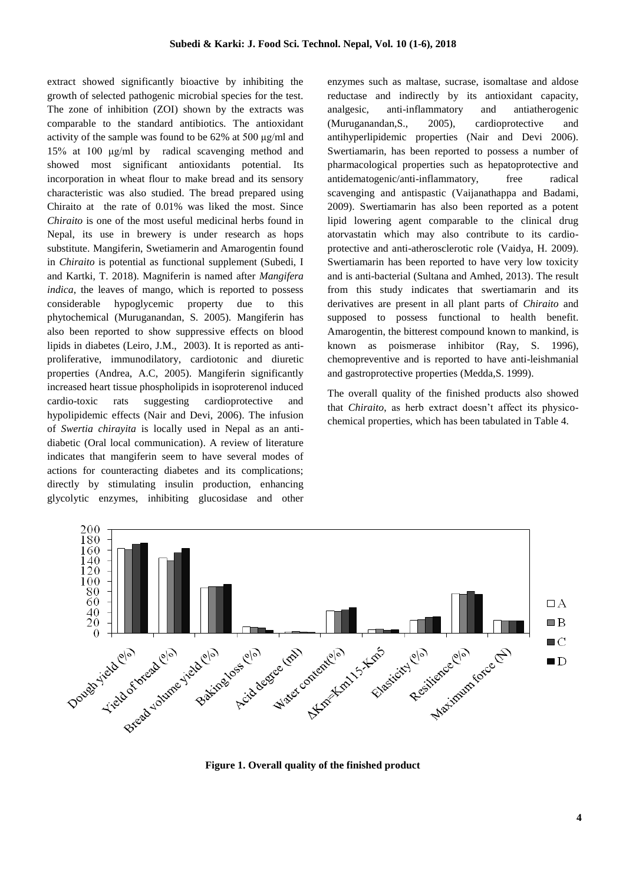extract showed significantly bioactive by inhibiting the growth of selected pathogenic microbial species for the test. The zone of inhibition (ZOI) shown by the extracts was comparable to the standard antibiotics. The antioxidant activity of the sample was found to be 62% at 500 μg/ml and 15% at 100 μg/ml by radical scavenging method and showed most significant antioxidants potential. Its incorporation in wheat flour to make bread and its sensory characteristic was also studied. The bread prepared using Chiraito at the rate of 0.01% was liked the most. Since *Chiraito* is one of the most useful medicinal herbs found in Nepal, its use in brewery is under research as hops substitute. Mangiferin, Swetiamerin and Amarogentin found in *Chiraito* is potential as functional supplement (Subedi, I and Kartki, T. 2018). Magniferin is named after *Mangifera indica*, the leaves of mango, which is reported to possess considerable hypoglycemic property due to this phytochemical (Muruganandan, S*.* 2005). Mangiferin has also been reported to show suppressive effects on blood lipids in diabetes (Leiro, J.M., 2003). It is reported as antiproliferative, immunodilatory, cardiotonic and diuretic properties (Andrea, A.C, 2005). Mangiferin significantly increased heart tissue phospholipids in isoproterenol induced cardio-toxic rats suggesting cardioprotective and hypolipidemic effects (Nair and Devi, 2006). The infusion of *Swertia chirayita* is locally used in Nepal as an antidiabetic (Oral local communication). A review of literature indicates that mangiferin seem to have several modes of actions for counteracting diabetes and its complications; directly by stimulating insulin production, enhancing glycolytic enzymes, inhibiting glucosidase and other

enzymes such as maltase, sucrase, isomaltase and aldose reductase and indirectly by its antioxidant capacity, analgesic, anti-inflammatory and antiatherogenic (Muruganandan,S., 2005), cardioprotective and antihyperlipidemic properties (Nair and Devi 2006). Swertiamarin, has been reported to possess a number of pharmacological properties such as hepatoprotective and antidematogenic/anti-inflammatory, free radical scavenging and antispastic (Vaijanathappa and Badami, 2009). Swertiamarin has also been reported as a potent lipid lowering agent comparable to the clinical drug atorvastatin which may also contribute to its cardioprotective and anti-atherosclerotic role (Vaidya, H. 2009). Swertiamarin has been reported to have very low toxicity and is anti-bacterial (Sultana and Amhed, 2013). The result from this study indicates that swertiamarin and its derivatives are present in all plant parts of *Chiraito* and supposed to possess functional to health benefit. Amarogentin, the bitterest compound known to mankind, is known as poismerase inhibitor (Ray, S. 1996), chemopreventive and is reported to have anti-leishmanial and gastroprotective properties (Medda,S. 1999).

The overall quality of the finished products also showed that *Chiraito*, as herb extract doesn't affect its physicochemical properties, which has been tabulated in Table 4.



**Figure 1. Overall quality of the finished product**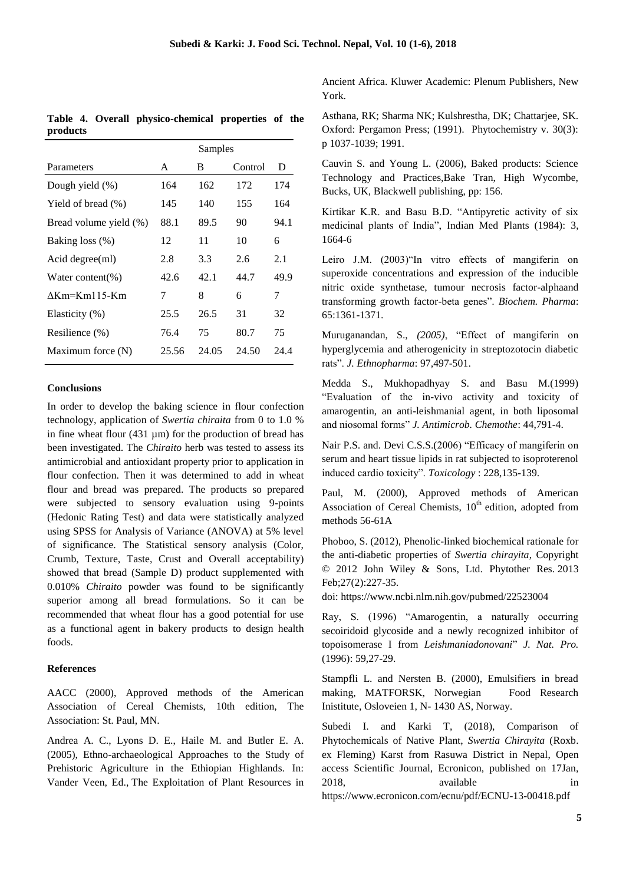|                          | Samples |       |         |      |
|--------------------------|---------|-------|---------|------|
| Parameters               | A       | B     | Control | D    |
| Dough yield $(\%)$       | 164     | 162   | 172     | 174  |
| Yield of bread (%)       | 145     | 140   | 155     | 164  |
| Bread volume yield (%)   | 88.1    | 89.5  | 90      | 94.1 |
| Baking loss (%)          | 12      | 11    | 10      | 6    |
| Acid degree $\text{m}$ ) | 2.8     | 3.3   | 2.6     | 2.1  |
| Water content(%)         | 42.6    | 42.1  | 44.7    | 49.9 |
| $\Delta$ Km=Km115-Km     | 7       | 8     | 6       | 7    |
| Elasticity (%)           | 25.5    | 26.5  | 31      | 32   |
| Resilience (%)           | 76.4    | 75    | 80.7    | 75   |
| Maximum force (N)        | 25.56   | 24.05 | 24.50   | 24.4 |
|                          |         |       |         |      |

**Table 4. Overall physico-chemical properties of the products**

# **Conclusions**

In order to develop the baking science in flour confection technology, application of *Swertia chiraita* from 0 to 1.0 % in fine wheat flour  $(431 \mu m)$  for the production of bread has been investigated. The *Chiraito* herb was tested to assess its antimicrobial and antioxidant property prior to application in flour confection. Then it was determined to add in wheat flour and bread was prepared. The products so prepared were subjected to sensory evaluation using 9-points (Hedonic Rating Test) and data were statistically analyzed using SPSS for Analysis of Variance (ANOVA) at 5% level of significance. The Statistical sensory analysis (Color, Crumb, Texture, Taste, Crust and Overall acceptability) showed that bread (Sample D) product supplemented with 0.010% *Chiraito* powder was found to be significantly superior among all bread formulations. So it can be recommended that wheat flour has a good potential for use as a functional agent in bakery products to design health foods.

#### **References**

AACC (2000), Approved methods of the American Association of Cereal Chemists, 10th edition, The Association: St. Paul, MN.

Andrea A. C., Lyons D. E., Haile M. and Butler E. A. (2005), Ethno-archaeological Approaches to the Study of Prehistoric Agriculture in the Ethiopian Highlands. In: Vander Veen, Ed., The Exploitation of Plant Resources in

Ancient Africa. Kluwer Academic: Plenum Publishers, New York.

Asthana, RK; Sharma NK; Kulshrestha, DK; Chattarjee, SK. Oxford: Pergamon Press; (1991). Phytochemistry v. 30(3): p 1037-1039; 1991.

Cauvin S. and Young L. (2006), Baked products: Science Technology and Practices,Bake Tran, High Wycombe, Bucks, UK, Blackwell publishing, pp: 156.

Kirtikar K.R. and Basu B.D. "Antipyretic activity of six medicinal plants of India", Indian Med Plants (1984): 3, 1664-6

Leiro J.M. (2003)"In vitro effects of mangiferin on superoxide concentrations and expression of the inducible nitric oxide synthetase, tumour necrosis factor-alphaand transforming growth factor-beta genes". *Biochem. Pharma*: 65:1361-1371.

Muruganandan, S., *(2005)*, "Effect of mangiferin on hyperglycemia and atherogenicity in streptozotocin diabetic rats". *J. Ethnopharma*: 97,497-501.

Medda S., Mukhopadhyay S. and Basu M.(1999) "Evaluation of the in-vivo activity and toxicity of amarogentin, an anti-leishmanial agent, in both liposomal and niosomal forms" *J. Antimicrob. Chemothe*: 44,791-4.

Nair P.S. and. Devi C.S.S.(2006) "Efficacy of mangiferin on serum and heart tissue lipids in rat subjected to isoproterenol induced cardio toxicity". *Toxicology* : 228,135-139.

Paul, M. (2000), Approved methods of American Association of Cereal Chemists,  $10<sup>th</sup>$  edition, adopted from methods 56-61A

Phoboo, S. (2012), Phenolic-linked biochemical rationale for the anti-diabetic properties of *Swertia chirayita*, Copyright © 2012 John Wiley & Sons, Ltd. Phytother Res. 2013 Feb;27(2):227-35.

doi: https://www.ncbi.nlm.nih.gov/pubmed/22523004

Ray, S. (1996) "Amarogentin, a naturally occurring secoiridoid glycoside and a newly recognized inhibitor of topoisomerase I from *Leishmaniadonovani*" *J. Nat. Pro.* (1996): 59,27-29.

Stampfli L. and Nersten B. (2000), Emulsifiers in bread making, MATFORSK, Norwegian Food Research Inistitute, Osloveien 1, N- 1430 AS, Norway.

Subedi I. and Karki T, (2018), Comparison of Phytochemicals of Native Plant, *Swertia Chirayita* (Roxb. ex Fleming) Karst from Rasuwa District in Nepal, Open access Scientific Journal, Ecronicon, published on 17Jan, 2018, available in https://www.ecronicon.com/ecnu/pdf/ECNU-13-00418.pdf